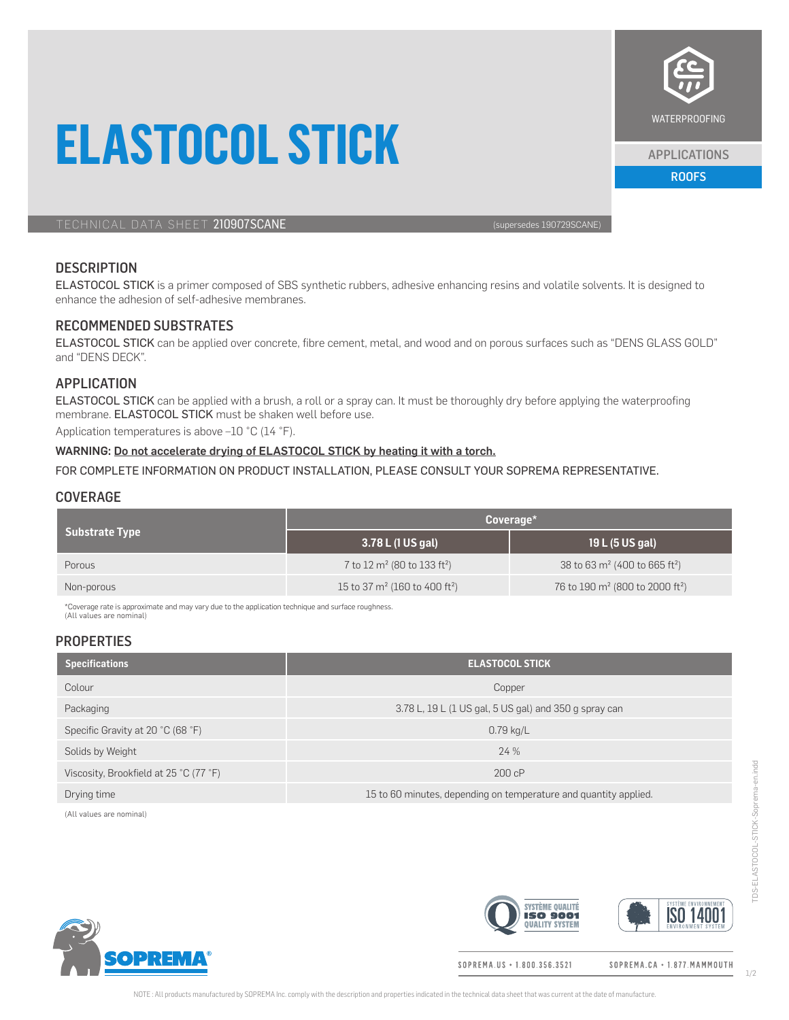# **ELASTOCOL STICK**



# **DESCRIPTION**

ELASTOCOL STICK is a primer composed of SBS synthetic rubbers, adhesive enhancing resins and volatile solvents. It is designed to enhance the adhesion of self-adhesive membranes.

## RECOMMENDED SUBSTRATES

ELASTOCOL STICK can be applied over concrete, fibre cement, metal, and wood and on porous surfaces such as "DENS GLASS GOLD" and "DENS DECK".

### APPLICATION

ELASTOCOL STICK can be applied with a brush, a roll or a spray can. It must be thoroughly dry before applying the waterproofing membrane. ELASTOCOL STICK must be shaken well before use.

Application temperatures is above –10 °C (14 °F).

# WARNING: Do not accelerate drying of ELASTOCOL STICK by heating it with a torch.

FOR COMPLETE INFORMATION ON PRODUCT INSTALLATION, PLEASE CONSULT YOUR SOPREMA REPRESENTATIVE.

#### **COVERAGE**

| <b>Substrate Type</b> | $Coveraq$ e                                         |                                                         |
|-----------------------|-----------------------------------------------------|---------------------------------------------------------|
|                       | 3.78 L (1 US gal)                                   | 19 L (5 US gal)                                         |
| Porous                | 7 to 12 m <sup>2</sup> (80 to 133 ft <sup>2</sup> ) | 38 to 63 $m^2$ (400 to 665 ft <sup>2</sup> )            |
| Non-porous            | 15 to 37 $m^2$ (160 to 400 ft <sup>2</sup> )        | 76 to 190 m <sup>2</sup> (800 to 2000 ft <sup>2</sup> ) |

\*Coverage rate is approximate and may vary due to the application technique and surface roughness. (All values are nominal)

### **PROPERTIES**

| <b>Specifications</b>                  | <b>ELASTOCOL STICK</b>                                           |  |
|----------------------------------------|------------------------------------------------------------------|--|
| Colour                                 | Copper                                                           |  |
| Packaging                              | 3.78 L, 19 L (1 US gal, 5 US gal) and 350 g spray can            |  |
| Specific Gravity at 20 °C (68 °F)      | $0.79$ kg/L                                                      |  |
| Solids by Weight                       | 24%                                                              |  |
| Viscosity, Brookfield at 25 °C (77 °F) | 200 cP                                                           |  |
| Drying time                            | 15 to 60 minutes, depending on temperature and quantity applied. |  |

(All values are nominal)



**SYSTÈME QUALITÉ ISO 14001 ISO 9001 QUALITY SYSTEM** 

SOPREMA.US · 1.800.356.3521

SOPREMA.CA · 1.877. MAMMOUTH



APPLICATIONS

ROOFS